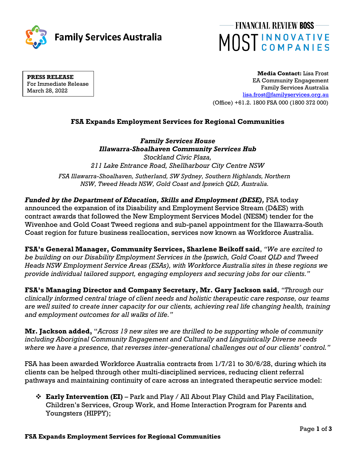



**PRESS RELEASE** For Immediate Release March 28, 2022

**Media Contact:** Lisa Frost EA Community Engagement Family Services Australia [lisa.frost@familyservices.org.au](mailto:lisa.frost@familyservices.org.au) (Office) +61.2. 1800 FSA 000 (1800 372 000)

# **FSA Expands Employment Services for Regional Communities**

*Family Services House Illawarra-Shoalhaven Community Services Hub Stockland Civic Plaza, 211 Lake Entrance Road, Shellharbour City Centre NSW FSA Illawarra-Shoalhaven, Sutherland, SW Sydney, Southern Highlands, Northern* 

*NSW, Tweed Heads NSW, Gold Coast and Ipswich QLD, Australia.*

*Funded by the Department of Education, Skills and Employment (DESE), FSA today* announced the expansion of its Disability and Employment Service Stream (D&ES) with contract awards that followed the New Employment Services Model (NESM) tender for the Wivenhoe and Gold Coast Tweed regions and sub-panel appointment for the Illawarra-South Coast region for future business reallocation, services now known as Workforce Australia.

**FSA's General Manager, Community Services, Sharlene Beikoff said**, *"We are excited to be building on our Disability Employment Services in the Ipswich, Gold Coast QLD and Tweed Heads NSW Employment Service Areas (ESAs), with Workforce Australia sites in these regions we provide individual tailored support, engaging employers and securing jobs for our clients."*

**FSA's Managing Director and Company Secretary, Mr. Gary Jackson said**, *"Through our clinically informed central triage of client needs and holistic therapeutic care response, our teams are well suited to create inner capacity for our clients, achieving real life changing health, training and employment outcomes for all walks of life."* 

**Mr. Jackson added,** "*Across 19 new sites we are thrilled to be supporting whole of community including Aboriginal Community Engagement and Culturally and Linguistically Diverse needs where we have a presence, that reverses inter-generational challenges out of our clients' control."* 

FSA has been awarded Workforce Australia contracts from 1/7/21 to 30/6/28, during which its clients can be helped through other multi-disciplined services, reducing client referral pathways and maintaining continuity of care across an integrated therapeutic service model:

❖ **Early Intervention (EI)** – Park and Play / All About Play Child and Play Facilitation, Children's Services, Group Work, and Home Interaction Program for Parents and Youngsters (HIPPY);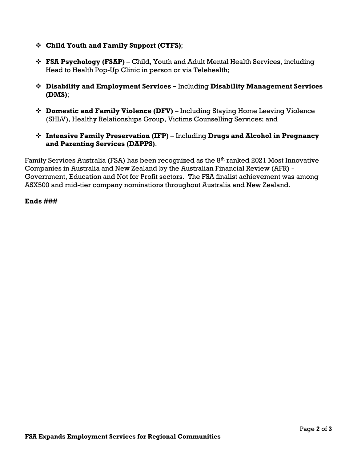- ❖ **Child Youth and Family Support (CYFS)**;
- ❖ **FSA Psychology (FSAP)** Child, Youth and Adult Mental Health Services, including Head to Health Pop-Up Clinic in person or via Telehealth;
- ❖ **Disability and Employment Services –** Including **Disability Management Services (DMS)**;
- ❖ **Domestic and Family Violence (DFV)** Including Staying Home Leaving Violence (SHLV), Healthy Relationships Group, Victims Counselling Services; and
- ❖ **Intensive Family Preservation (IFP)** Including **Drugs and Alcohol in Pregnancy and Parenting Services (DAPPS)**.

Family Services Australia (FSA) has been recognized as the 8<sup>th</sup> ranked 2021 Most Innovative Companies in Australia and New Zealand by the Australian Financial Review (AFR) - Government, Education and Not for Profit sectors. The FSA finalist achievement was among ASX500 and mid-tier company nominations throughout Australia and New Zealand.

## **Ends ###**